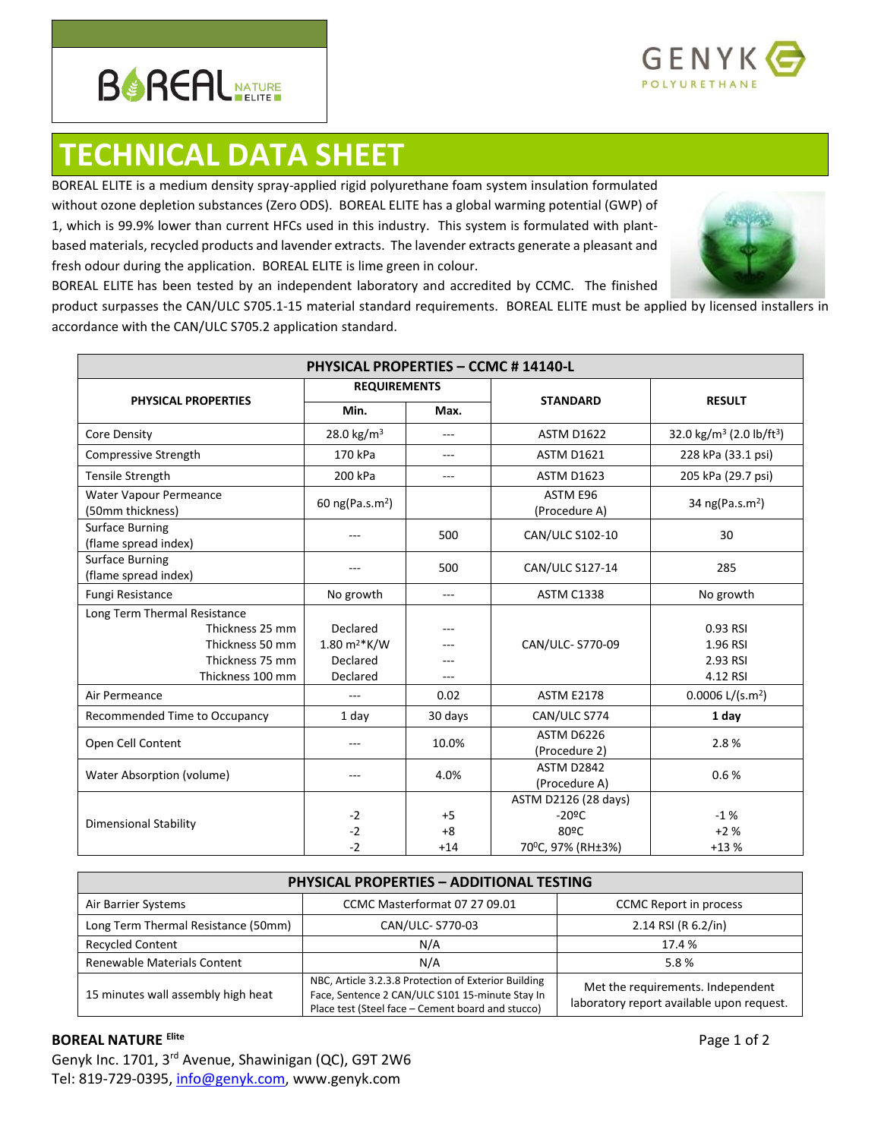



## **TECHNICAL DATA SHEET**

accordance with the CAN/ULC S705.2 application standard.

BOREAL ELITE is a medium density spray-applied rigid polyurethane foam system insulation formulated without ozone depletion substances (Zero ODS). BOREAL ELITE has a global warming potential (GWP) of 1, which is 99.9% lower than current HFCs used in this industry. This system is formulated with plantbased materials, recycled products and lavender extracts. The lavender extracts generate a pleasant and fresh odour during the application. BOREAL ELITE is lime green in colour.



BOREAL ELITE has been tested by an independent laboratory and accredited by CCMC. The finished product surpasses the CAN/ULC S705.1-15 material standard requirements. BOREAL ELITE must be applied by licensed installers in

| <b>PHYSICAL PROPERTIES - CCMC # 14140-L</b>    |                             |         |                                    |                                                  |  |
|------------------------------------------------|-----------------------------|---------|------------------------------------|--------------------------------------------------|--|
|                                                | <b>REQUIREMENTS</b>         |         |                                    |                                                  |  |
| <b>PHYSICAL PROPERTIES</b>                     | Min.                        | Max.    | <b>STANDARD</b>                    | <b>RESULT</b>                                    |  |
| Core Density                                   | 28.0 kg/m <sup>3</sup>      | $---$   | <b>ASTM D1622</b>                  | 32.0 kg/m <sup>3</sup> (2.0 lb/ft <sup>3</sup> ) |  |
| Compressive Strength                           | 170 kPa                     | $- - -$ | <b>ASTM D1621</b>                  | 228 kPa (33.1 psi)                               |  |
| <b>Tensile Strength</b>                        | 200 kPa                     | $---$   | <b>ASTM D1623</b>                  | 205 kPa (29.7 psi)                               |  |
| Water Vapour Permeance<br>(50mm thickness)     | 60 ng(Pa.s.m <sup>2</sup> ) |         | ASTM E96<br>(Procedure A)          | 34 ng(Pa.s.m <sup>2</sup> )                      |  |
| <b>Surface Burning</b><br>(flame spread index) |                             | 500     | CAN/ULC S102-10                    | 30                                               |  |
| <b>Surface Burning</b><br>(flame spread index) |                             | 500     | CAN/ULC S127-14                    | 285                                              |  |
| <b>Fungi Resistance</b>                        | No growth                   | $---$   | <b>ASTM C1338</b>                  | No growth                                        |  |
| Long Term Thermal Resistance                   |                             |         |                                    |                                                  |  |
| Thickness 25 mm                                | Declared                    |         |                                    | 0.93 RSI                                         |  |
| Thickness 50 mm                                | $1.80 \text{ m}^{2*}$ K/W   |         | CAN/ULC- S770-09                   | 1.96 RSI                                         |  |
| Thickness 75 mm                                | Declared                    |         |                                    | 2.93 RSI                                         |  |
| Thickness 100 mm                               | Declared                    | $- - -$ |                                    | 4.12 RSI                                         |  |
| Air Permeance                                  | $---$                       | 0.02    | <b>ASTM E2178</b>                  | $0.0006$ L/(s.m <sup>2</sup> )                   |  |
| Recommended Time to Occupancy                  | 1 day                       | 30 days | CAN/ULC S774                       | 1 day                                            |  |
| Open Cell Content                              | ---                         | 10.0%   | ASTM D6226<br>(Procedure 2)        | 2.8%                                             |  |
| Water Absorption (volume)                      | ---                         | 4.0%    | <b>ASTM D2842</b><br>(Procedure A) | 0.6%                                             |  |
|                                                |                             |         | ASTM D2126 (28 days)               |                                                  |  |
|                                                | $-2$                        | $+5$    | $-20$ °C                           | $-1%$                                            |  |
| <b>Dimensional Stability</b>                   | $-2$                        | $+8$    | 80°C                               | $+2%$                                            |  |
|                                                | $-2$                        | $+14$   | 70°C, 97% (RH±3%)                  | $+13%$                                           |  |

| <b>PHYSICAL PROPERTIES - ADDITIONAL TESTING</b> |                                                                                                                                                              |                                                                                |  |  |
|-------------------------------------------------|--------------------------------------------------------------------------------------------------------------------------------------------------------------|--------------------------------------------------------------------------------|--|--|
| Air Barrier Systems                             | CCMC Masterformat 07 27 09.01                                                                                                                                | <b>CCMC</b> Report in process                                                  |  |  |
| Long Term Thermal Resistance (50mm)             | CAN/ULC- S770-03                                                                                                                                             | 2.14 RSI (R 6.2/in)                                                            |  |  |
| <b>Recycled Content</b>                         | N/A                                                                                                                                                          | 17.4 %                                                                         |  |  |
| Renewable Materials Content                     | N/A                                                                                                                                                          | 5.8%                                                                           |  |  |
| 15 minutes wall assembly high heat              | NBC, Article 3.2.3.8 Protection of Exterior Building<br>Face, Sentence 2 CAN/ULC S101 15-minute Stay In<br>Place test (Steel face - Cement board and stucco) | Met the requirements. Independent<br>laboratory report available upon request. |  |  |

## **BOREAL NATURE Elite**

Genyk Inc. 1701, 3rd Avenue, Shawinigan (QC), G9T 2W6 Tel: 819-729-0395[, info@genyk.com,](mailto:info@genyk.com) www.genyk.com